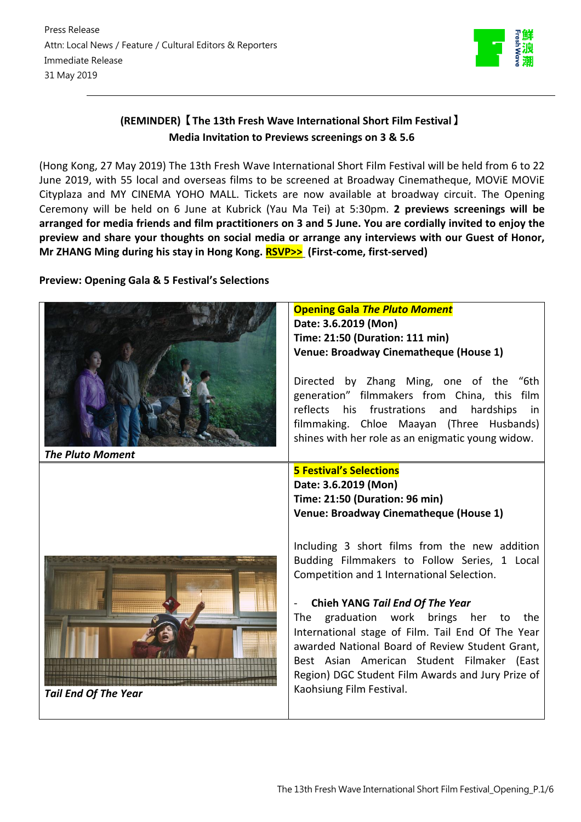

# **(REMINDER)【The 13th Fresh Wave International Short Film Festival】 Media Invitation to Previews screenings on 3 & 5.6**

(Hong Kong, 27 May 2019) The 13th Fresh Wave International Short Film Festival will be held from 6 to 22 June 2019, with 55 local and overseas films to be screened at Broadway Cinematheque, MOViE MOViE Cityplaza and MY CINEMA YOHO MALL. Tickets are now available at broadway circuit. The Opening Ceremony will be held on 6 June at Kubrick (Yau Ma Tei) at 5:30pm. **2 previews screenings will be** arranged for media friends and film practitioners on 3 and 5 June. You are cordially invited to enjoy the **preview and share your thoughts on social media or arrange any interviews with our Guest of Honor, Mr ZHANG Ming during his stay in Hong Kong. [RSVP>>](https://docs.google.com/forms/d/18makd1H0NnpqSq9Z024FvV9z7q9CTQv35Tx_fAfWGMU/edit?usp=sharing) (First-come, first-served)**

# **Preview: Opening Gala & 5 Festival's Selections**

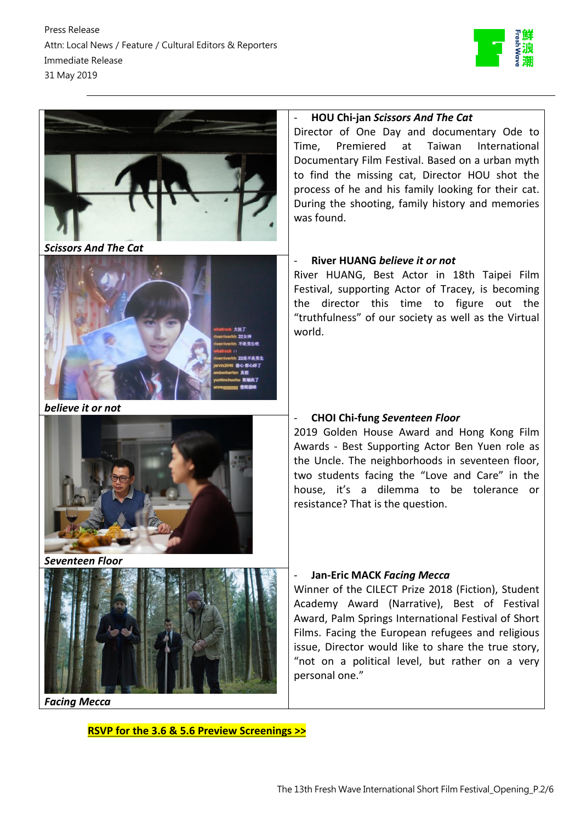



*Scissors And The Cat*



*believe it or not*



*Seventeen Floor*



*Facing Mecca*

**RSVP for the 3.6 & 5.6 Preview [Screenings](https://docs.google.com/forms/d/18makd1H0NnpqSq9Z024FvV9z7q9CTQv35Tx_fAfWGMU/edit?usp=sharing) >>**

### - **HOU Chi-jan** *Scissors And The Cat*

Director of One Day and documentary Ode to Time, Premiered at Taiwan International Documentary Film Festival. Based on a urban myth to find the missing cat, Director HOU shot the process of he and his family looking for their cat. During the shooting, family history and memories was found.

# - **River HUANG** *believe it or not*

River HUANG, Best Actor in 18th Taipei Film Festival, supporting Actor of Tracey, is becoming the director this time to figure out the "truthfulness" of our society as well as the Virtual world.

# - **CHOI Chi-fung** *Seventeen Floor*

2019 Golden House Award and Hong Kong Film Awards - Best Supporting Actor Ben Yuen role as the Uncle. The neighborhoods in seventeen floor, two students facing the "Love and Care" in the house, it's a dilemma to be tolerance or resistance? That is the question.

# - **Jan-Eric MACK** *Facing Mecca*

Winner of the CILECT Prize 2018 (Fiction), Student Academy Award (Narrative), Best of Festival Award, Palm Springs International Festival of Short Films. Facing the European refugees and religious issue, Director would like to share the true story, "not on a political level, but rather on a very personal one."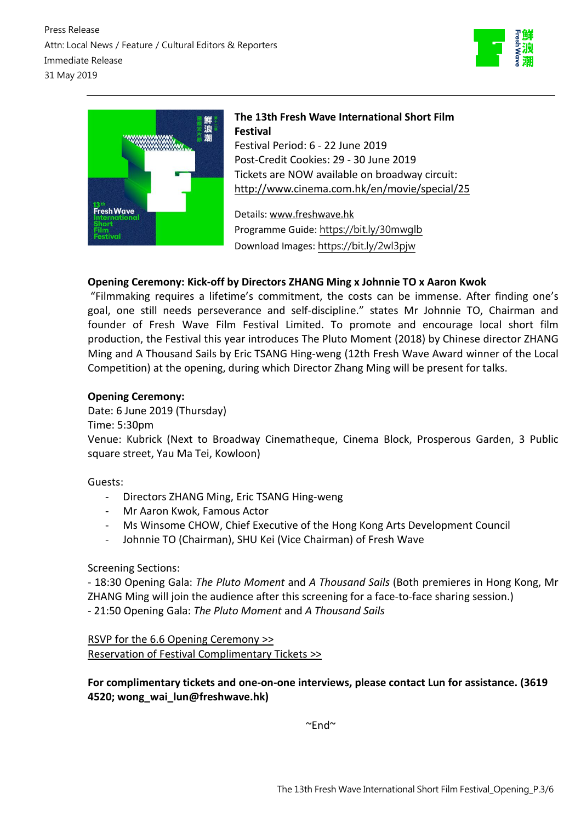



# **The 13th Fresh Wave International Short Film Festival** Festival Period: 6 - 22 June 2019 Post-Credit Cookies: 29 - 30 June 2019 Tickets are NOW available on broadway circuit: <http://www.cinema.com.hk/en/movie/special/25>

Details: [www.freshwave.hk](http://www.freshwave.hk/?a=group&id=13_freshwave) Programme Guide: <https://bit.ly/30mwglb> Download Images: <https://bit.ly/2wl3pjw>

# **Opening Ceremony: Kick-off by Directors ZHANG Ming x Johnnie TO x Aaron Kwok**

"Filmmaking requires a lifetime's commitment, the costs can be immense. After finding one's goal, one still needs perseverance and self-discipline." states Mr Johnnie TO, Chairman and founder of Fresh Wave Film Festival Limited. To promote and encourage local short film production, the Festival this year introduces The Pluto Moment (2018) by Chinese director ZHANG Ming and A Thousand Sails by Eric TSANG Hing-weng (12th Fresh Wave Award winner of the Local Competition) at the opening, during which Director Zhang Ming will be present for talks.

## **Opening Ceremony:**

Date: 6 June 2019 (Thursday)

Time: 5:30pm

Venue: Kubrick (Next to Broadway Cinematheque, Cinema Block, Prosperous Garden, 3 Public square street, Yau Ma Tei, Kowloon)

Guests:

- Directors ZHANG Ming, Eric TSANG Hing-weng
- Mr Aaron Kwok, Famous Actor
- Ms Winsome CHOW, Chief Executive of the Hong Kong Arts Development Council
- Johnnie TO (Chairman), SHU Kei (Vice Chairman) of Fresh Wave

### Screening Sections:

- 18:30 Opening Gala: *The Pluto Moment* and *A Thousand Sails* (Both premieres in Hong Kong, Mr ZHANG Ming will join the audience after this screening for a face-to-face sharing session.) - 21:50 Opening Gala: *The Pluto Moment* and *A Thousand Sails*

RSVP for the 6.6 Opening [Ceremony](https://docs.google.com/forms/d/1YfoWImDuD177fRB-Qp4hybZl2xLS_tj4NH6OMAsY2tM/edit?usp=sharing) >> Reservation of Festival [Complimentary](https://drive.google.com/open?id=1QCDaeGnbIy4ekdFzyrxuDc-2GPRn-r3t5wbfnjQQqVQ) Tickets >>

**For complimentary tickets and one-on-one interviews, please contact Lun for assistance. (3619 4520; wong\_wai\_lun@freshwave.hk)** 

 $~\sim$ End $~\sim$